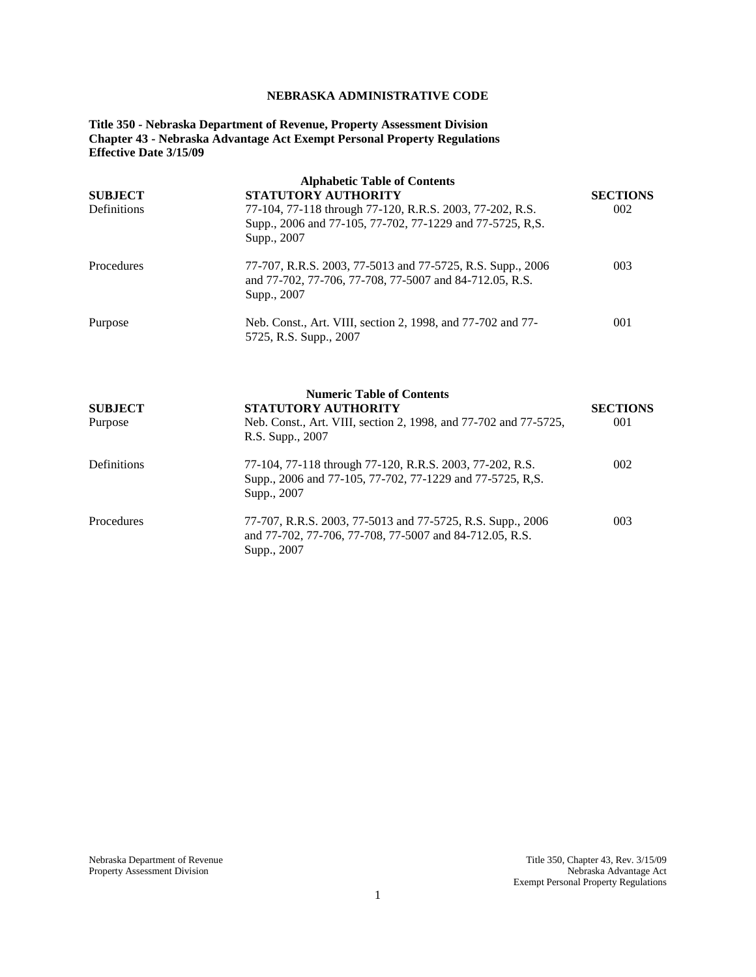# **NEBRASKA ADMINISTRATIVE CODE**

**Title 350 - Nebraska Department of Revenue, Property Assessment Division Chapter 43 - Nebraska Advantage Act Exempt Personal Property Regulations Effective Date 3/15/09**

| <b>SUBJECT</b><br>Definitions | <b>Alphabetic Table of Contents</b><br><b>STATUTORY AUTHORITY</b><br>77-104, 77-118 through 77-120, R.R.S. 2003, 77-202, R.S.<br>Supp., 2006 and 77-105, 77-702, 77-1229 and 77-5725, R,S.<br>Supp., 2007                     | <b>SECTIONS</b><br>002 |  |  |
|-------------------------------|-------------------------------------------------------------------------------------------------------------------------------------------------------------------------------------------------------------------------------|------------------------|--|--|
| Procedures                    | 77-707, R.R.S. 2003, 77-5013 and 77-5725, R.S. Supp., 2006<br>and 77-702, 77-706, 77-708, 77-5007 and 84-712.05, R.S.<br>Supp., 2007<br>Neb. Const., Art. VIII, section 2, 1998, and 77-702 and 77-<br>5725, R.S. Supp., 2007 |                        |  |  |
| Purpose                       |                                                                                                                                                                                                                               |                        |  |  |
| <b>SUBJECT</b><br>Purpose     | <b>Numeric Table of Contents</b><br>STATUTORY AUTHORITY<br>Neb. Const., Art. VIII, section 2, 1998, and 77-702 and 77-5725,<br>R.S. Supp., 2007                                                                               | <b>SECTIONS</b><br>001 |  |  |
| Definitions                   | 77-104, 77-118 through 77-120, R.R.S. 2003, 77-202, R.S.<br>Supp., 2006 and 77-105, 77-702, 77-1229 and 77-5725, R,S.<br>Supp., 2007                                                                                          | 002                    |  |  |
| Procedures                    | 77-707, R.R.S. 2003, 77-5013 and 77-5725, R.S. Supp., 2006<br>and 77-702, 77-706, 77-708, 77-5007 and 84-712.05, R.S.<br>Supp., 2007                                                                                          | 003                    |  |  |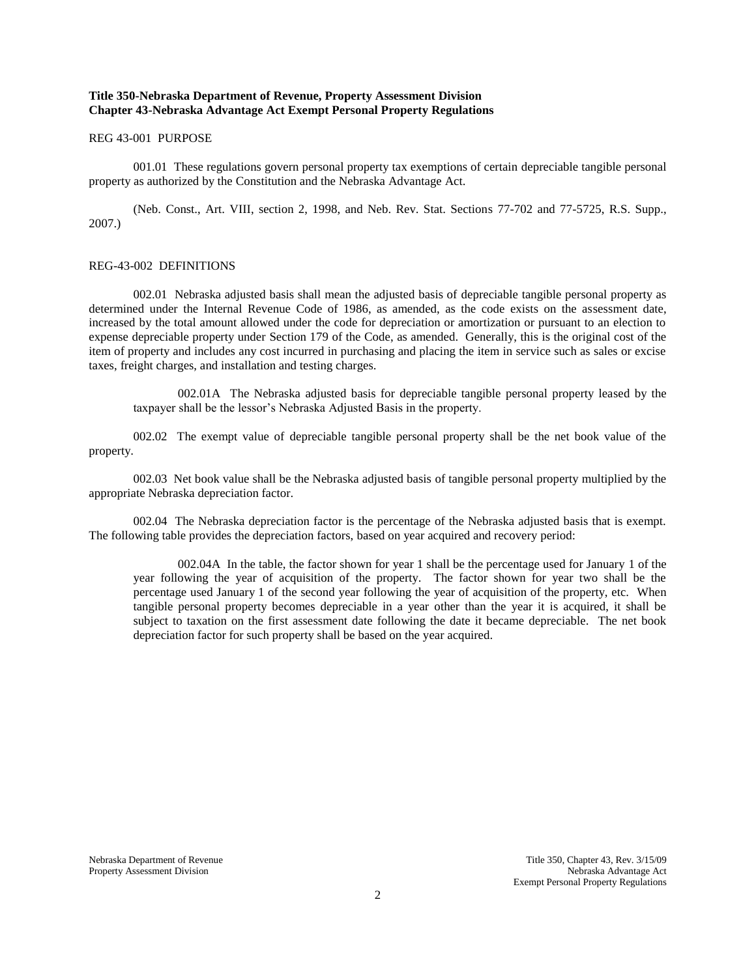# **Title 350-Nebraska Department of Revenue, Property Assessment Division Chapter 43-Nebraska Advantage Act Exempt Personal Property Regulations**

### REG 43-001 PURPOSE

001.01 These regulations govern personal property tax exemptions of certain depreciable tangible personal property as authorized by the Constitution and the Nebraska Advantage Act.

(Neb. Const., Art. VIII, section 2, 1998, and Neb. Rev. Stat. Sections 77-702 and 77-5725, R.S. Supp., 2007.)

### REG-43-002 DEFINITIONS

002.01 Nebraska adjusted basis shall mean the adjusted basis of depreciable tangible personal property as determined under the Internal Revenue Code of 1986, as amended, as the code exists on the assessment date, increased by the total amount allowed under the code for depreciation or amortization or pursuant to an election to expense depreciable property under Section 179 of the Code, as amended. Generally, this is the original cost of the item of property and includes any cost incurred in purchasing and placing the item in service such as sales or excise taxes, freight charges, and installation and testing charges.

002.01A The Nebraska adjusted basis for depreciable tangible personal property leased by the taxpayer shall be the lessor's Nebraska Adjusted Basis in the property.

002.02 The exempt value of depreciable tangible personal property shall be the net book value of the property.

002.03 Net book value shall be the Nebraska adjusted basis of tangible personal property multiplied by the appropriate Nebraska depreciation factor.

002.04 The Nebraska depreciation factor is the percentage of the Nebraska adjusted basis that is exempt. The following table provides the depreciation factors, based on year acquired and recovery period:

002.04A In the table, the factor shown for year 1 shall be the percentage used for January 1 of the year following the year of acquisition of the property. The factor shown for year two shall be the percentage used January 1 of the second year following the year of acquisition of the property, etc. When tangible personal property becomes depreciable in a year other than the year it is acquired, it shall be subject to taxation on the first assessment date following the date it became depreciable. The net book depreciation factor for such property shall be based on the year acquired.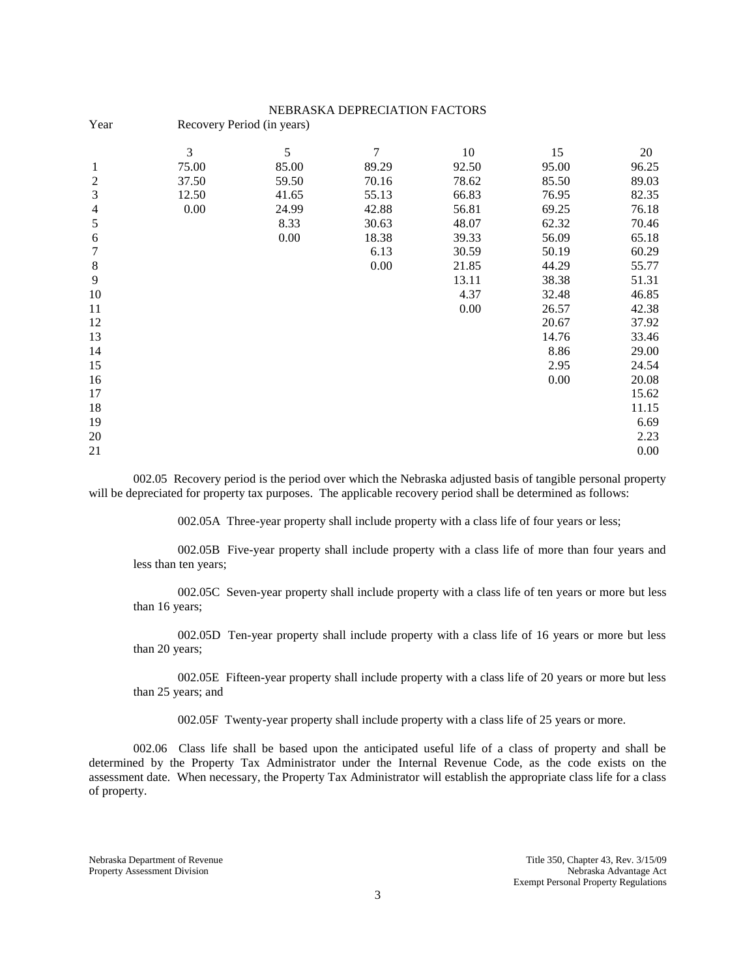# NEBRASKA DEPRECIATION FACTORS

| Year           | Recovery Period (in years) |       |        |       |       |       |  |  |  |
|----------------|----------------------------|-------|--------|-------|-------|-------|--|--|--|
|                | 3                          | 5     | $\tau$ | 10    | 15    | 20    |  |  |  |
| 1              | 75.00                      | 85.00 | 89.29  | 92.50 | 95.00 | 96.25 |  |  |  |
| $\mathfrak{2}$ | 37.50                      | 59.50 | 70.16  | 78.62 | 85.50 | 89.03 |  |  |  |
| $\mathfrak{Z}$ | 12.50                      | 41.65 | 55.13  | 66.83 | 76.95 | 82.35 |  |  |  |
| $\overline{4}$ | 0.00                       | 24.99 | 42.88  | 56.81 | 69.25 | 76.18 |  |  |  |
| 5              |                            | 8.33  | 30.63  | 48.07 | 62.32 | 70.46 |  |  |  |
| 6              |                            | 0.00  | 18.38  | 39.33 | 56.09 | 65.18 |  |  |  |
| $\tau$         |                            |       | 6.13   | 30.59 | 50.19 | 60.29 |  |  |  |
| $\,8\,$        |                            |       | 0.00   | 21.85 | 44.29 | 55.77 |  |  |  |
| $\overline{9}$ |                            |       |        | 13.11 | 38.38 | 51.31 |  |  |  |
| 10             |                            |       |        | 4.37  | 32.48 | 46.85 |  |  |  |
| 11             |                            |       |        | 0.00  | 26.57 | 42.38 |  |  |  |
| 12             |                            |       |        |       | 20.67 | 37.92 |  |  |  |
| 13             |                            |       |        |       | 14.76 | 33.46 |  |  |  |
| 14             |                            |       |        |       | 8.86  | 29.00 |  |  |  |
| 15             |                            |       |        |       | 2.95  | 24.54 |  |  |  |
| 16             |                            |       |        |       | 0.00  | 20.08 |  |  |  |
| 17             |                            |       |        |       |       | 15.62 |  |  |  |
| 18             |                            |       |        |       |       | 11.15 |  |  |  |
| 19             |                            |       |        |       |       | 6.69  |  |  |  |
| 20             |                            |       |        |       |       | 2.23  |  |  |  |
| 21             |                            |       |        |       |       | 0.00  |  |  |  |

002.05 Recovery period is the period over which the Nebraska adjusted basis of tangible personal property will be depreciated for property tax purposes. The applicable recovery period shall be determined as follows:

002.05A Three-year property shall include property with a class life of four years or less;

002.05B Five-year property shall include property with a class life of more than four years and less than ten years;

002.05C Seven-year property shall include property with a class life of ten years or more but less than 16 years;

002.05D Ten-year property shall include property with a class life of 16 years or more but less than 20 years;

002.05E Fifteen-year property shall include property with a class life of 20 years or more but less than 25 years; and

002.05F Twenty-year property shall include property with a class life of 25 years or more.

002.06 Class life shall be based upon the anticipated useful life of a class of property and shall be determined by the Property Tax Administrator under the Internal Revenue Code, as the code exists on the assessment date. When necessary, the Property Tax Administrator will establish the appropriate class life for a class of property.

Property Assessment Division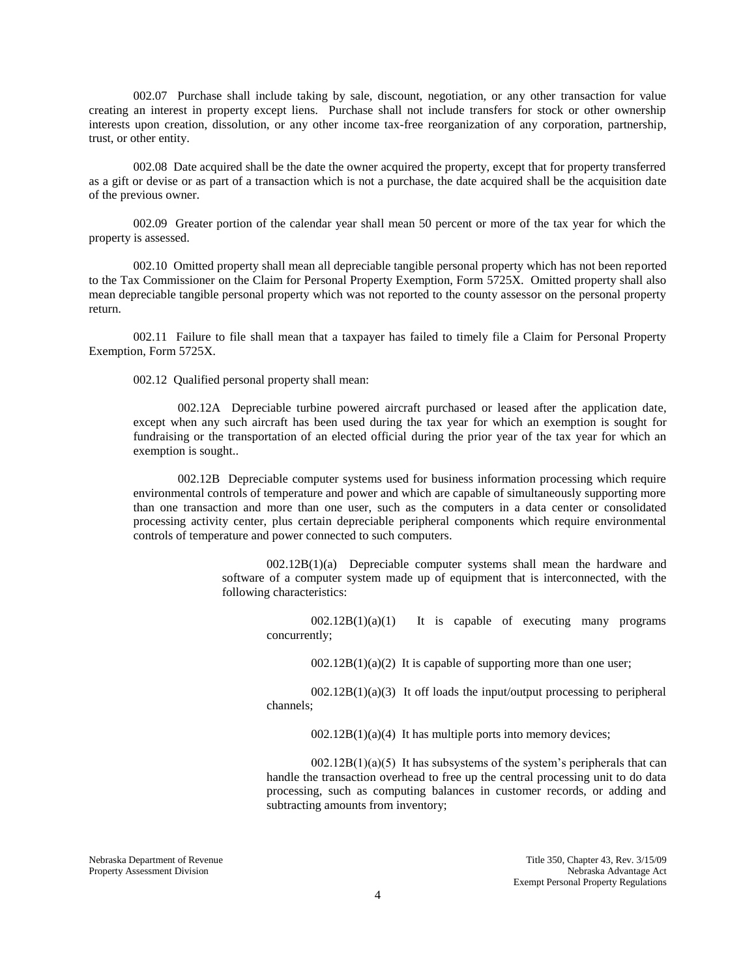002.07 Purchase shall include taking by sale, discount, negotiation, or any other transaction for value creating an interest in property except liens. Purchase shall not include transfers for stock or other ownership interests upon creation, dissolution, or any other income tax-free reorganization of any corporation, partnership, trust, or other entity.

002.08 Date acquired shall be the date the owner acquired the property, except that for property transferred as a gift or devise or as part of a transaction which is not a purchase, the date acquired shall be the acquisition date of the previous owner.

002.09 Greater portion of the calendar year shall mean 50 percent or more of the tax year for which the property is assessed.

002.10 Omitted property shall mean all depreciable tangible personal property which has not been reported to the Tax Commissioner on the Claim for Personal Property Exemption, Form 5725X. Omitted property shall also mean depreciable tangible personal property which was not reported to the county assessor on the personal property return.

002.11 Failure to file shall mean that a taxpayer has failed to timely file a Claim for Personal Property Exemption, Form 5725X.

002.12 Qualified personal property shall mean:

002.12A Depreciable turbine powered aircraft purchased or leased after the application date, except when any such aircraft has been used during the tax year for which an exemption is sought for fundraising or the transportation of an elected official during the prior year of the tax year for which an exemption is sought..

002.12B Depreciable computer systems used for business information processing which require environmental controls of temperature and power and which are capable of simultaneously supporting more than one transaction and more than one user, such as the computers in a data center or consolidated processing activity center, plus certain depreciable peripheral components which require environmental controls of temperature and power connected to such computers.

> 002.12B(1)(a) Depreciable computer systems shall mean the hardware and software of a computer system made up of equipment that is interconnected, with the following characteristics:

 $002.12B(1)(a)(1)$  It is capable of executing many programs concurrently;

 $002.12B(1)(a)(2)$  It is capable of supporting more than one user;

 $002.12B(1)(a)(3)$  It off loads the input/output processing to peripheral channels;

 $002.12B(1)(a)(4)$  It has multiple ports into memory devices;

 $002.12B(1)(a)(5)$  It has subsystems of the system's peripherals that can handle the transaction overhead to free up the central processing unit to do data processing, such as computing balances in customer records, or adding and subtracting amounts from inventory;

Property Assessment Division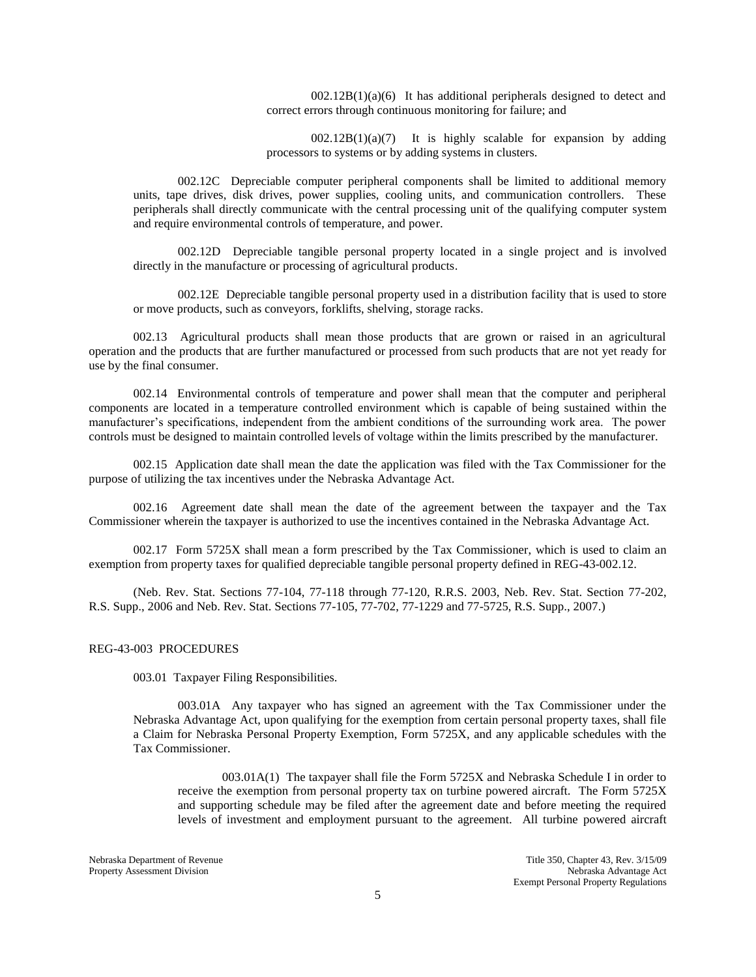$002.12B(1)(a)(6)$  It has additional peripherals designed to detect and correct errors through continuous monitoring for failure; and

 $002.12B(1)(a)(7)$  It is highly scalable for expansion by adding processors to systems or by adding systems in clusters.

002.12C Depreciable computer peripheral components shall be limited to additional memory units, tape drives, disk drives, power supplies, cooling units, and communication controllers. These peripherals shall directly communicate with the central processing unit of the qualifying computer system and require environmental controls of temperature, and power.

002.12D Depreciable tangible personal property located in a single project and is involved directly in the manufacture or processing of agricultural products.

002.12E Depreciable tangible personal property used in a distribution facility that is used to store or move products, such as conveyors, forklifts, shelving, storage racks.

002.13 Agricultural products shall mean those products that are grown or raised in an agricultural operation and the products that are further manufactured or processed from such products that are not yet ready for use by the final consumer.

002.14 Environmental controls of temperature and power shall mean that the computer and peripheral components are located in a temperature controlled environment which is capable of being sustained within the manufacturer's specifications, independent from the ambient conditions of the surrounding work area. The power controls must be designed to maintain controlled levels of voltage within the limits prescribed by the manufacturer.

002.15 Application date shall mean the date the application was filed with the Tax Commissioner for the purpose of utilizing the tax incentives under the Nebraska Advantage Act.

002.16 Agreement date shall mean the date of the agreement between the taxpayer and the Tax Commissioner wherein the taxpayer is authorized to use the incentives contained in the Nebraska Advantage Act.

002.17 Form 5725X shall mean a form prescribed by the Tax Commissioner, which is used to claim an exemption from property taxes for qualified depreciable tangible personal property defined in REG-43-002.12.

(Neb. Rev. Stat. Sections 77-104, 77-118 through 77-120, R.R.S. 2003, Neb. Rev. Stat. Section 77-202, R.S. Supp., 2006 and Neb. Rev. Stat. Sections 77-105, 77-702, 77-1229 and 77-5725, R.S. Supp., 2007.)

#### REG-43-003 PROCEDURES

003.01 Taxpayer Filing Responsibilities.

003.01A Any taxpayer who has signed an agreement with the Tax Commissioner under the Nebraska Advantage Act, upon qualifying for the exemption from certain personal property taxes, shall file a Claim for Nebraska Personal Property Exemption, Form 5725X, and any applicable schedules with the Tax Commissioner.

003.01A(1) The taxpayer shall file the Form 5725X and Nebraska Schedule I in order to receive the exemption from personal property tax on turbine powered aircraft. The Form 5725X and supporting schedule may be filed after the agreement date and before meeting the required levels of investment and employment pursuant to the agreement. All turbine powered aircraft

Property Assessment Division

Nebraska Department of Revenue<br>
Property Assessment Division<br>
Property Assessment Division<br>
Nebraska Advantage Act Exempt Personal Property Regulations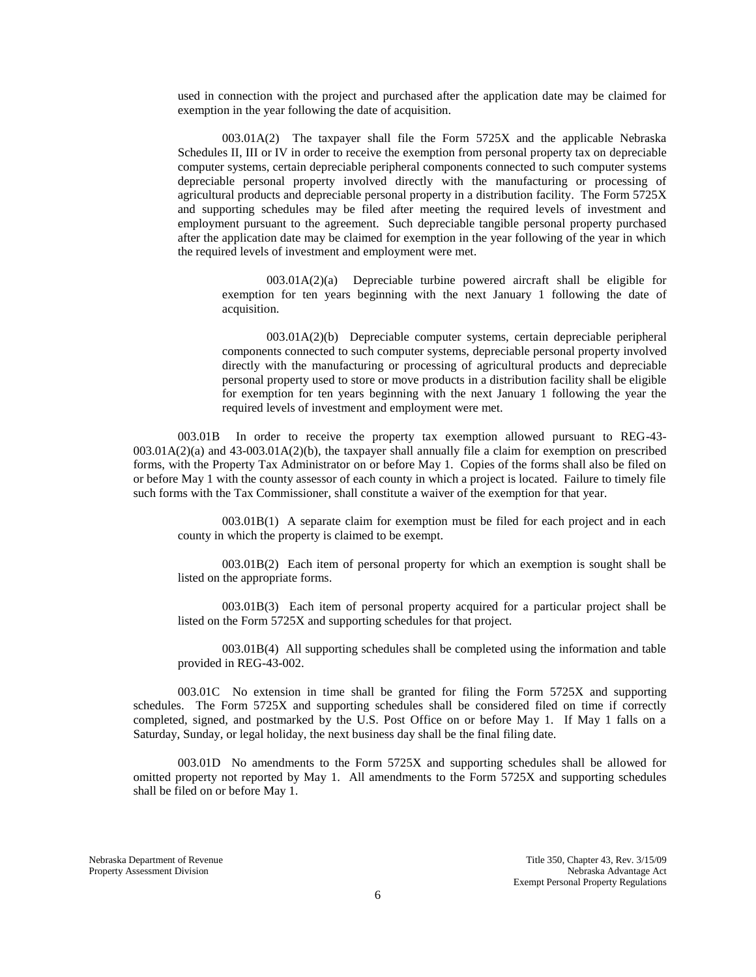used in connection with the project and purchased after the application date may be claimed for exemption in the year following the date of acquisition.

003.01A(2) The taxpayer shall file the Form 5725X and the applicable Nebraska Schedules II, III or IV in order to receive the exemption from personal property tax on depreciable computer systems, certain depreciable peripheral components connected to such computer systems depreciable personal property involved directly with the manufacturing or processing of agricultural products and depreciable personal property in a distribution facility. The Form 5725X and supporting schedules may be filed after meeting the required levels of investment and employment pursuant to the agreement. Such depreciable tangible personal property purchased after the application date may be claimed for exemption in the year following of the year in which the required levels of investment and employment were met.

003.01A(2)(a) Depreciable turbine powered aircraft shall be eligible for exemption for ten years beginning with the next January 1 following the date of acquisition.

003.01A(2)(b) Depreciable computer systems, certain depreciable peripheral components connected to such computer systems, depreciable personal property involved directly with the manufacturing or processing of agricultural products and depreciable personal property used to store or move products in a distribution facility shall be eligible for exemption for ten years beginning with the next January 1 following the year the required levels of investment and employment were met.

003.01B In order to receive the property tax exemption allowed pursuant to REG-43- 003.01A(2)(a) and 43-003.01A(2)(b), the taxpayer shall annually file a claim for exemption on prescribed forms, with the Property Tax Administrator on or before May 1. Copies of the forms shall also be filed on or before May 1 with the county assessor of each county in which a project is located. Failure to timely file such forms with the Tax Commissioner, shall constitute a waiver of the exemption for that year.

003.01B(1) A separate claim for exemption must be filed for each project and in each county in which the property is claimed to be exempt.

003.01B(2) Each item of personal property for which an exemption is sought shall be listed on the appropriate forms.

003.01B(3) Each item of personal property acquired for a particular project shall be listed on the Form 5725X and supporting schedules for that project.

003.01B(4) All supporting schedules shall be completed using the information and table provided in REG-43-002.

003.01C No extension in time shall be granted for filing the Form 5725X and supporting schedules. The Form 5725X and supporting schedules shall be considered filed on time if correctly completed, signed, and postmarked by the U.S. Post Office on or before May 1. If May 1 falls on a Saturday, Sunday, or legal holiday, the next business day shall be the final filing date.

003.01D No amendments to the Form 5725X and supporting schedules shall be allowed for omitted property not reported by May 1. All amendments to the Form 5725X and supporting schedules shall be filed on or before May 1.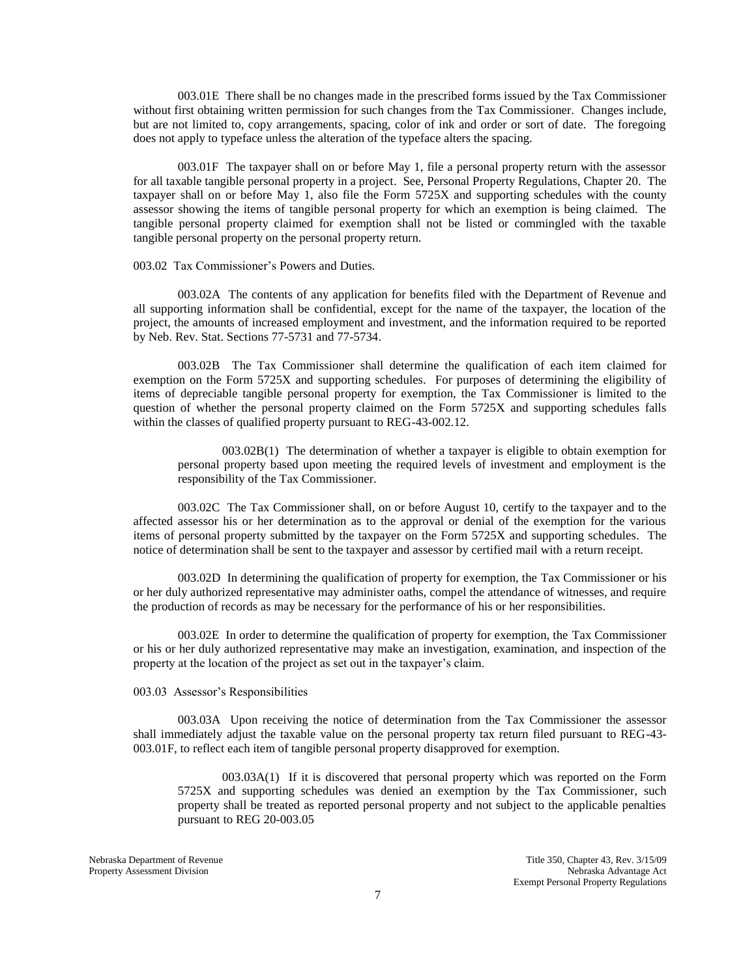003.01E There shall be no changes made in the prescribed forms issued by the Tax Commissioner without first obtaining written permission for such changes from the Tax Commissioner. Changes include, but are not limited to, copy arrangements, spacing, color of ink and order or sort of date. The foregoing does not apply to typeface unless the alteration of the typeface alters the spacing.

003.01F The taxpayer shall on or before May 1, file a personal property return with the assessor for all taxable tangible personal property in a project. See, Personal Property Regulations, Chapter 20. The taxpayer shall on or before May 1, also file the Form 5725X and supporting schedules with the county assessor showing the items of tangible personal property for which an exemption is being claimed. The tangible personal property claimed for exemption shall not be listed or commingled with the taxable tangible personal property on the personal property return.

### 003.02 Tax Commissioner's Powers and Duties.

003.02A The contents of any application for benefits filed with the Department of Revenue and all supporting information shall be confidential, except for the name of the taxpayer, the location of the project, the amounts of increased employment and investment, and the information required to be reported by Neb. Rev. Stat. Sections 77-5731 and 77-5734.

003.02B The Tax Commissioner shall determine the qualification of each item claimed for exemption on the Form 5725X and supporting schedules. For purposes of determining the eligibility of items of depreciable tangible personal property for exemption, the Tax Commissioner is limited to the question of whether the personal property claimed on the Form 5725X and supporting schedules falls within the classes of qualified property pursuant to REG-43-002.12.

003.02B(1) The determination of whether a taxpayer is eligible to obtain exemption for personal property based upon meeting the required levels of investment and employment is the responsibility of the Tax Commissioner.

003.02C The Tax Commissioner shall, on or before August 10, certify to the taxpayer and to the affected assessor his or her determination as to the approval or denial of the exemption for the various items of personal property submitted by the taxpayer on the Form 5725X and supporting schedules. The notice of determination shall be sent to the taxpayer and assessor by certified mail with a return receipt.

003.02D In determining the qualification of property for exemption, the Tax Commissioner or his or her duly authorized representative may administer oaths, compel the attendance of witnesses, and require the production of records as may be necessary for the performance of his or her responsibilities.

003.02E In order to determine the qualification of property for exemption, the Tax Commissioner or his or her duly authorized representative may make an investigation, examination, and inspection of the property at the location of the project as set out in the taxpayer's claim.

### 003.03 Assessor's Responsibilities

003.03A Upon receiving the notice of determination from the Tax Commissioner the assessor shall immediately adjust the taxable value on the personal property tax return filed pursuant to REG-43- 003.01F, to reflect each item of tangible personal property disapproved for exemption.

003.03A(1) If it is discovered that personal property which was reported on the Form 5725X and supporting schedules was denied an exemption by the Tax Commissioner, such property shall be treated as reported personal property and not subject to the applicable penalties pursuant to REG 20-003.05